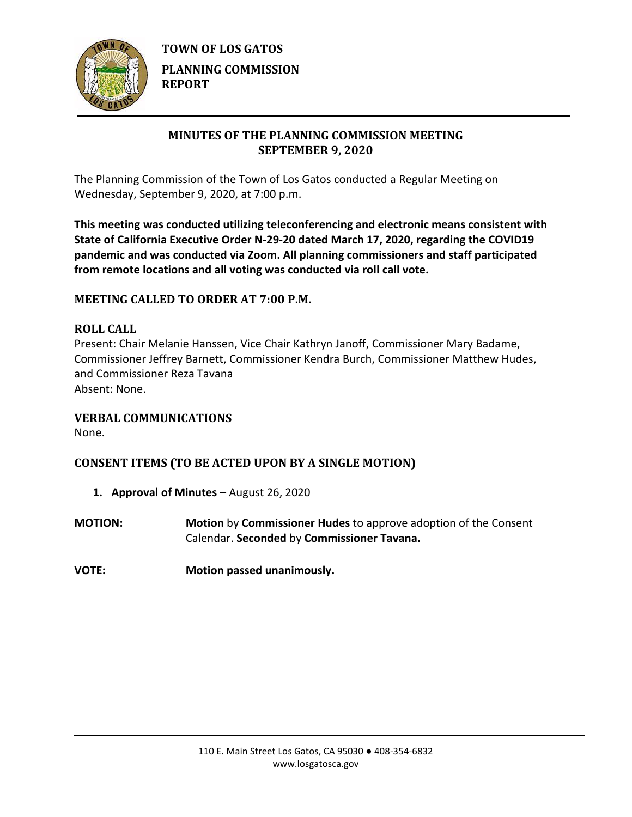

**TOWN OF LOS GATOS PLANNING COMMISSION REPORT**

# **MINUTES OF THE PLANNING COMMISSION MEETING SEPTEMBER 9, 2020**

The Planning Commission of the Town of Los Gatos conducted a Regular Meeting on Wednesday, September 9, 2020, at 7:00 p.m.

**This meeting was conducted utilizing teleconferencing and electronic means consistent with State of California Executive Order N-29-20 dated March 17, 2020, regarding the COVID19 pandemic and was conducted via Zoom. All planning commissioners and staff participated from remote locations and all voting was conducted via roll call vote.**

# **MEETING CALLED TO ORDER AT 7:00 P.M.**

## **ROLL CALL**

Present: Chair Melanie Hanssen, Vice Chair Kathryn Janoff, Commissioner Mary Badame, Commissioner Jeffrey Barnett, Commissioner Kendra Burch, Commissioner Matthew Hudes, and Commissioner Reza Tavana Absent: None.

#### **VERBAL COMMUNICATIONS**

None.

# **CONSENT ITEMS (TO BE ACTED UPON BY A SINGLE MOTION)**

- **1. Approval of Minutes** August 26, 2020
- **MOTION: Motion** by **Commissioner Hudes** to approve adoption of the Consent Calendar. **Seconded** by **Commissioner Tavana.**
- **VOTE: Motion passed unanimously.**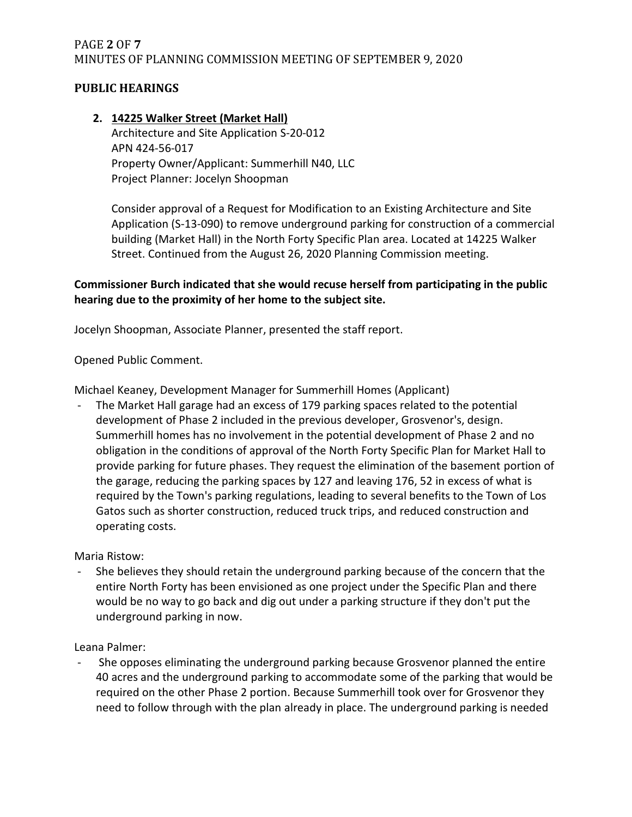# PAGE **2** OF **7** MINUTES OF PLANNING COMMISSION MEETING OF SEPTEMBER 9, 2020

## **PUBLIC HEARINGS**

## **2. 14225 Walker Street (Market Hall)** Architecture and Site Application S-20-012 APN 424-56-017 Property Owner/Applicant: Summerhill N40, LLC Project Planner: Jocelyn Shoopman

Consider approval of a Request for Modification to an Existing Architecture and Site Application (S-13-090) to remove underground parking for construction of a commercial building (Market Hall) in the North Forty Specific Plan area. Located at 14225 Walker Street. Continued from the August 26, 2020 Planning Commission meeting.

## **Commissioner Burch indicated that she would recuse herself from participating in the public hearing due to the proximity of her home to the subject site.**

Jocelyn Shoopman, Associate Planner, presented the staff report.

Opened Public Comment.

Michael Keaney, Development Manager for Summerhill Homes (Applicant)

The Market Hall garage had an excess of 179 parking spaces related to the potential development of Phase 2 included in the previous developer, Grosvenor's, design. Summerhill homes has no involvement in the potential development of Phase 2 and no obligation in the conditions of approval of the North Forty Specific Plan for Market Hall to provide parking for future phases. They request the elimination of the basement portion of the garage, reducing the parking spaces by 127 and leaving 176, 52 in excess of what is required by the Town's parking regulations, leading to several benefits to the Town of Los Gatos such as shorter construction, reduced truck trips, and reduced construction and operating costs.

Maria Ristow:

She believes they should retain the underground parking because of the concern that the entire North Forty has been envisioned as one project under the Specific Plan and there would be no way to go back and dig out under a parking structure if they don't put the underground parking in now.

Leana Palmer:

- She opposes eliminating the underground parking because Grosvenor planned the entire 40 acres and the underground parking to accommodate some of the parking that would be required on the other Phase 2 portion. Because Summerhill took over for Grosvenor they need to follow through with the plan already in place. The underground parking is needed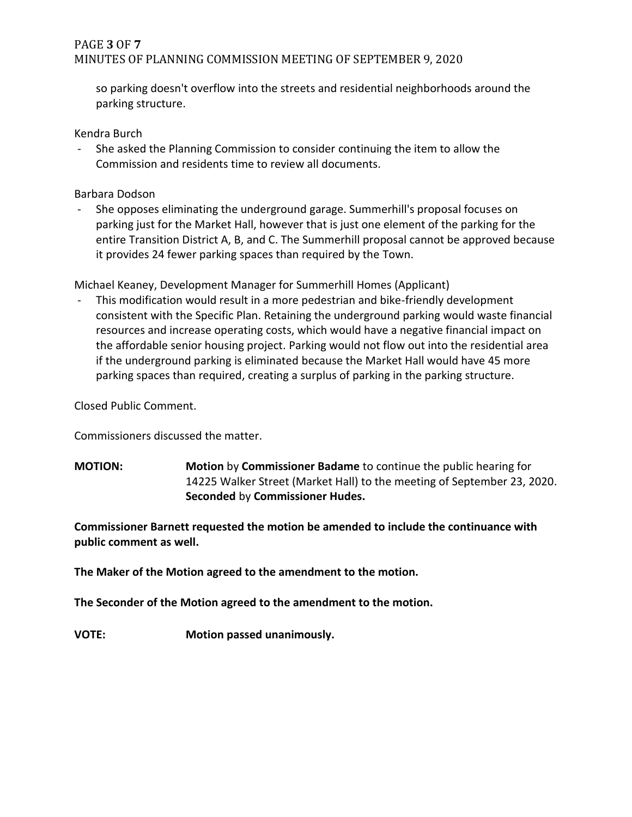# PAGE **3** OF **7** MINUTES OF PLANNING COMMISSION MEETING OF SEPTEMBER 9, 2020

so parking doesn't overflow into the streets and residential neighborhoods around the parking structure.

Kendra Burch

- She asked the Planning Commission to consider continuing the item to allow the Commission and residents time to review all documents.

Barbara Dodson

- She opposes eliminating the underground garage. Summerhill's proposal focuses on parking just for the Market Hall, however that is just one element of the parking for the entire Transition District A, B, and C. The Summerhill proposal cannot be approved because it provides 24 fewer parking spaces than required by the Town.

Michael Keaney, Development Manager for Summerhill Homes (Applicant)

- This modification would result in a more pedestrian and bike-friendly development consistent with the Specific Plan. Retaining the underground parking would waste financial resources and increase operating costs, which would have a negative financial impact on the affordable senior housing project. Parking would not flow out into the residential area if the underground parking is eliminated because the Market Hall would have 45 more parking spaces than required, creating a surplus of parking in the parking structure.

Closed Public Comment.

Commissioners discussed the matter.

**MOTION: Motion** by **Commissioner Badame** to continue the public hearing for 14225 Walker Street (Market Hall) to the meeting of September 23, 2020. **Seconded** by **Commissioner Hudes.**

**Commissioner Barnett requested the motion be amended to include the continuance with public comment as well.** 

**The Maker of the Motion agreed to the amendment to the motion.**

**The Seconder of the Motion agreed to the amendment to the motion.**

**VOTE: Motion passed unanimously.**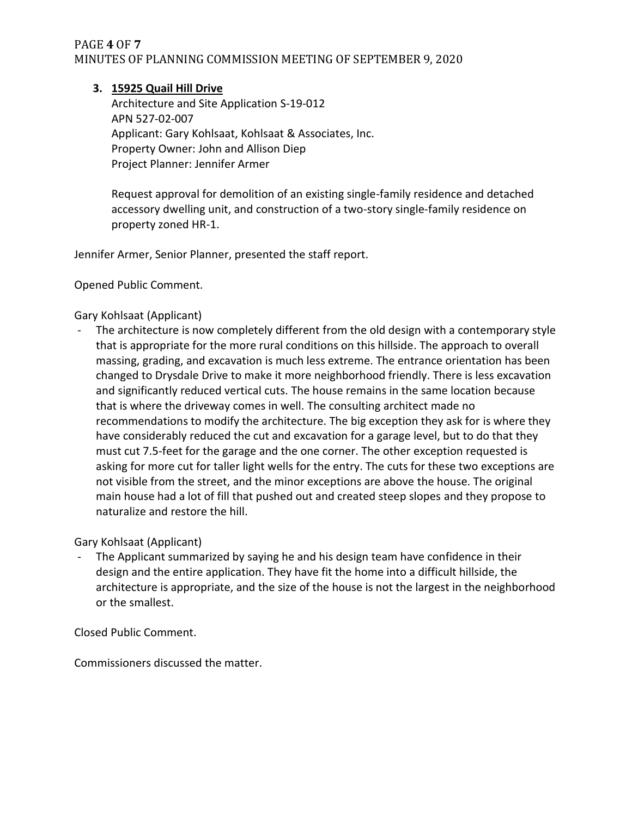## PAGE **4** OF **7** MINUTES OF PLANNING COMMISSION MEETING OF SEPTEMBER 9, 2020

### **3. 15925 Quail Hill Drive**

Architecture and Site Application S-19-012 APN 527-02-007 Applicant: Gary Kohlsaat, Kohlsaat & Associates, Inc. Property Owner: John and Allison Diep Project Planner: Jennifer Armer

Request approval for demolition of an existing single-family residence and detached accessory dwelling unit, and construction of a two-story single-family residence on property zoned HR-1.

Jennifer Armer, Senior Planner, presented the staff report.

Opened Public Comment.

### Gary Kohlsaat (Applicant)

- The architecture is now completely different from the old design with a contemporary style that is appropriate for the more rural conditions on this hillside. The approach to overall massing, grading, and excavation is much less extreme. The entrance orientation has been changed to Drysdale Drive to make it more neighborhood friendly. There is less excavation and significantly reduced vertical cuts. The house remains in the same location because that is where the driveway comes in well. The consulting architect made no recommendations to modify the architecture. The big exception they ask for is where they have considerably reduced the cut and excavation for a garage level, but to do that they must cut 7.5-feet for the garage and the one corner. The other exception requested is asking for more cut for taller light wells for the entry. The cuts for these two exceptions are not visible from the street, and the minor exceptions are above the house. The original main house had a lot of fill that pushed out and created steep slopes and they propose to naturalize and restore the hill.

Gary Kohlsaat (Applicant)

The Applicant summarized by saying he and his design team have confidence in their design and the entire application. They have fit the home into a difficult hillside, the architecture is appropriate, and the size of the house is not the largest in the neighborhood or the smallest.

Closed Public Comment.

Commissioners discussed the matter.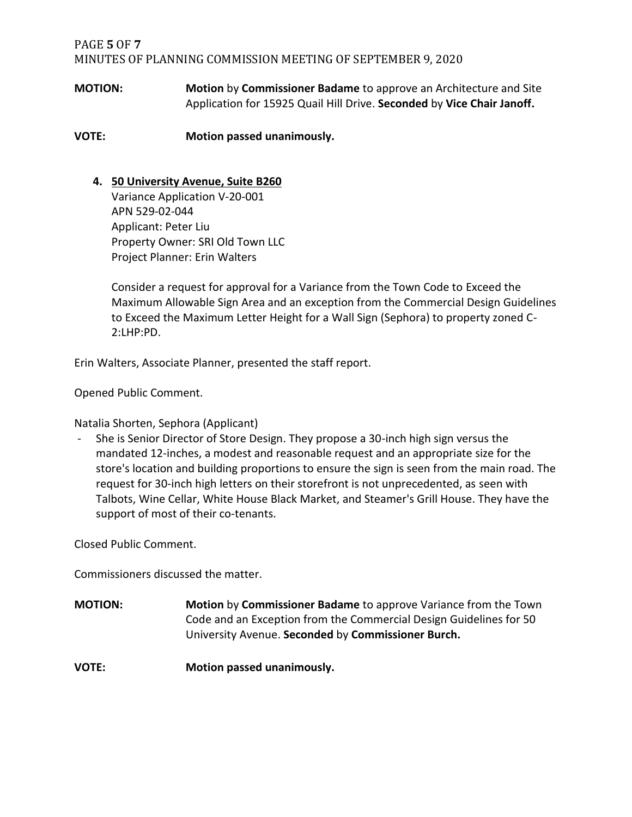## PAGE **5** OF **7** MINUTES OF PLANNING COMMISSION MEETING OF SEPTEMBER 9, 2020

**MOTION: Motion** by **Commissioner Badame** to approve an Architecture and Site Application for 15925 Quail Hill Drive. **Seconded** by **Vice Chair Janoff.**

**VOTE: Motion passed unanimously.**

### **4. 50 University Avenue, Suite B260**

Variance Application V-20-001 APN 529-02-044 Applicant: Peter Liu Property Owner: SRI Old Town LLC Project Planner: Erin Walters

Consider a request for approval for a Variance from the Town Code to Exceed the Maximum Allowable Sign Area and an exception from the Commercial Design Guidelines to Exceed the Maximum Letter Height for a Wall Sign (Sephora) to property zoned C-2:LHP:PD.

Erin Walters, Associate Planner, presented the staff report.

Opened Public Comment.

Natalia Shorten, Sephora (Applicant)

She is Senior Director of Store Design. They propose a 30-inch high sign versus the mandated 12-inches, a modest and reasonable request and an appropriate size for the store's location and building proportions to ensure the sign is seen from the main road. The request for 30-inch high letters on their storefront is not unprecedented, as seen with Talbots, Wine Cellar, White House Black Market, and Steamer's Grill House. They have the support of most of their co-tenants.

Closed Public Comment.

Commissioners discussed the matter.

**MOTION: Motion** by **Commissioner Badame** to approve Variance from the Town Code and an Exception from the Commercial Design Guidelines for 50 University Avenue. **Seconded** by **Commissioner Burch.**

**VOTE: Motion passed unanimously.**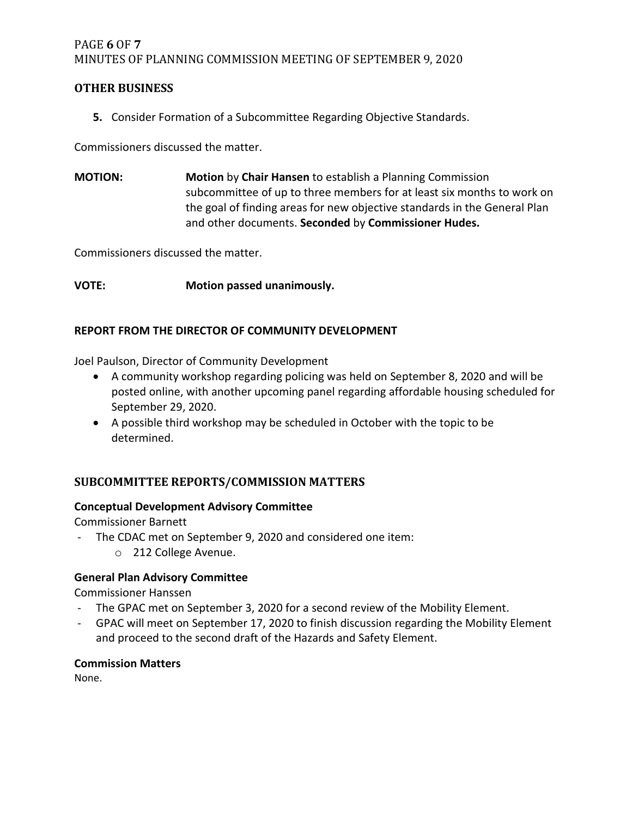## PAGE **6** OF **7** MINUTES OF PLANNING COMMISSION MEETING OF SEPTEMBER 9, 2020

### **OTHER BUSINESS**

**5.** Consider Formation of a Subcommittee Regarding Objective Standards.

Commissioners discussed the matter.

**MOTION: Motion** by **Chair Hansen** to establish a Planning Commission subcommittee of up to three members for at least six months to work on the goal of finding areas for new objective standards in the General Plan and other documents. **Seconded** by **Commissioner Hudes.**

Commissioners discussed the matter.

**VOTE: Motion passed unanimously.**

#### **REPORT FROM THE DIRECTOR OF COMMUNITY DEVELOPMENT**

Joel Paulson, Director of Community Development

- A community workshop regarding policing was held on September 8, 2020 and will be posted online, with another upcoming panel regarding affordable housing scheduled for September 29, 2020.
- A possible third workshop may be scheduled in October with the topic to be determined.

# **SUBCOMMITTEE REPORTS/COMMISSION MATTERS**

#### **Conceptual Development Advisory Committee**

Commissioner Barnett

- The CDAC met on September 9, 2020 and considered one item:
	- o 212 College Avenue.

## **General Plan Advisory Committee**

Commissioner Hanssen

- The GPAC met on September 3, 2020 for a second review of the Mobility Element.
- GPAC will meet on September 17, 2020 to finish discussion regarding the Mobility Element and proceed to the second draft of the Hazards and Safety Element.

#### **Commission Matters**

None.